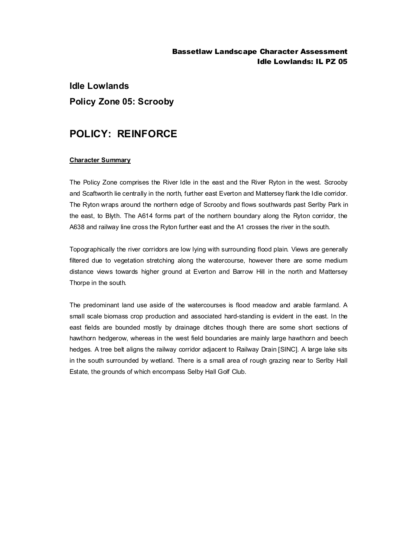### Bassetlaw Landscape Character Assessment Idle Lowlands: IL PZ 05

# **Idle Lowlands Policy Zone 05: Scrooby**

## **POLICY: REINFORCE**

#### **Character Summary**

The Policy Zone comprises the River Idle in the east and the River Ryton in the west. Scrooby and Scaftworth lie centrally in the north, further east Everton and Mattersey flank the Idle corridor. The Ryton wraps around the northern edge of Scrooby and flows southwards past Serlby Park in the east, to Blyth. The A614 forms part of the northern boundary along the Ryton corridor, the A638 and railway line cross the Ryton further east and the A1 crosses the river in the south.

Topographically the river corridors are low lying with surrounding flood plain. Views are generally filtered due to vegetation stretching along the watercourse, however there are some medium distance views towards higher ground at Everton and Barrow Hill in the north and Mattersey Thorpe in the south.

The predominant land use aside of the watercourses is flood meadow and arable farmland. A small scale biomass crop production and associated hard-standing is evident in the east. In the east fields are bounded mostly by drainage ditches though there are some short sections of hawthorn hedgerow, whereas in the west field boundaries are mainly large hawthorn and beech hedges. A tree belt aligns the railway corridor adjacent to Railway Drain [SINC]. A large lake sits in the south surrounded by wetland. There is a small area of rough grazing near to Serlby Hall Estate, the grounds of which encompass Selby Hall Golf Club.